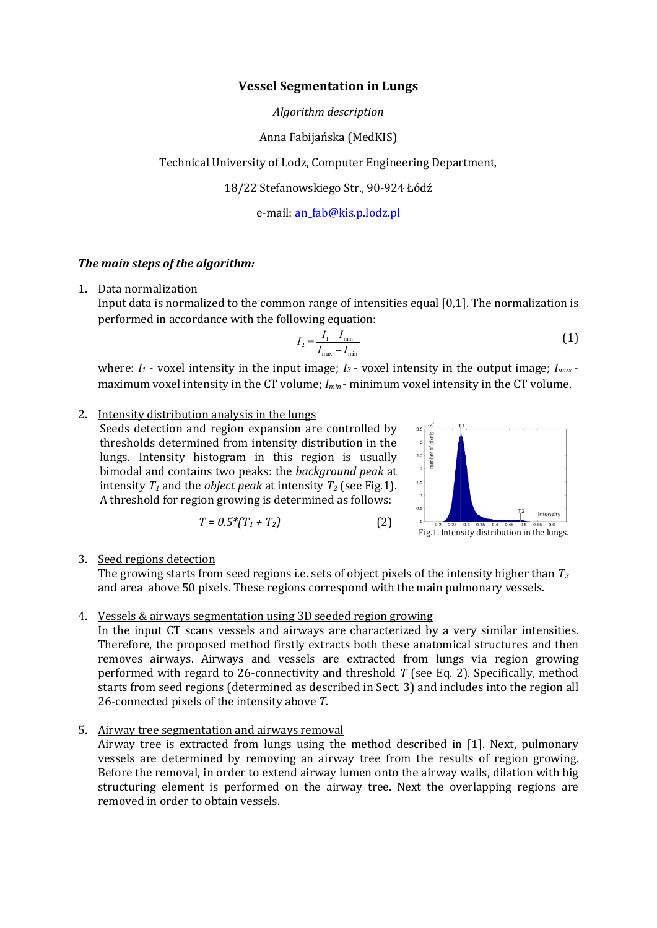#### **Vessel Segmentation in Lungs**

*Algorithm description*

## Anna Fabijańska (MedKIS)

Technical University of Lodz, Computer Engineering Department,

18/22 Stefanowskiego Str., 90-924 Łódź

e-mail[: an\\_fab@kis.p.lodz.pl](mailto:an_fab@kis.p.lodz.pl)

## *The main steps of the algorithm:*

1. Data normalization

Input data is normalized to the common range of intensities equal [0,1]. The normalization is performed in accordance with the following equation:

$$
I_2 = \frac{I_1 - I_{\min}}{I_{\max} - I_{\min}}
$$
(1)

where:  $I_1$  - voxel intensity in the input image;  $I_2$  - voxel intensity in the output image;  $I_{max}$  maximum voxel intensity in the CT volume;  $I_{min}$  - minimum voxel intensity in the CT volume.

### 2. Intensity distribution analysis in the lungs

Seeds detection and region expansion are controlled by thresholds determined from intensity distribution in the lungs. Intensity histogram in this region is usually bimodal and contains two peaks: the *background peak* at intensity  $T_1$  and the *object peak* at intensity  $T_2$  (see Fig.1). A threshold for region growing is determined as follows:

$$
T = 0.5^*(T_1 + T_2)
$$
 (2)



3. Seed regions detection

The growing starts from seed regions i.e. sets of object pixels of the intensity higher than *T<sup>2</sup>* and area above 50 pixels. These regions correspond with the main pulmonary vessels.

#### 4. Vessels & airways segmentation using 3D seeded region growing

In the input CT scans vessels and airways are characterized by a very similar intensities. Therefore, the proposed method firstly extracts both these anatomical structures and then removes airways. Airways and vessels are extracted from lungs via region growing performed with regard to 26-connectivity and threshold *T* (see Eq. 2). Specifically, method starts from seed regions (determined as described in Sect. 3) and includes into the region all 26-connected pixels of the intensity above *T*.

#### 5. Airway tree segmentation and airways removal

Airway tree is extracted from lungs using the method described in [1]. Next, pulmonary vessels are determined by removing an airway tree from the results of region growing. Before the removal, in order to extend airway lumen onto the airway walls, dilation with big structuring element is performed on the airway tree. Next the overlapping regions are removed in order to obtain vessels.